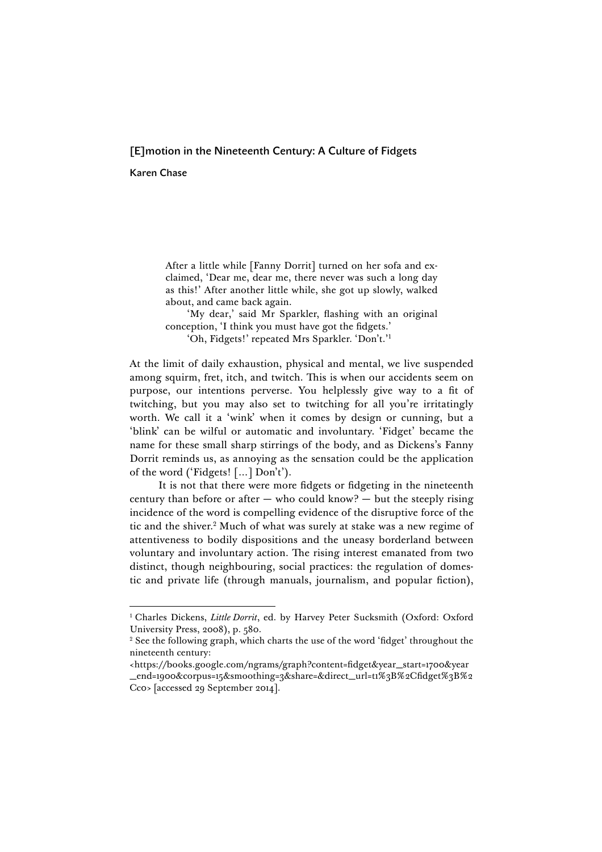# [E]motion in the Nineteenth Century: A Culture of Fidgets

Karen Chase

After a little while [Fanny Dorrit] turned on her sofa and exclaimed, 'Dear me, dear me, there never was such a long day as this!' After another little while, she got up slowly, walked about, and came back again.

'My dear,' said Mr Sparkler, flashing with an original conception, 'I think you must have got the fidgets.'

'Oh, Fidgets!' repeated Mrs Sparkler. 'Don't.' 1

At the limit of daily exhaustion, physical and mental, we live suspended among squirm, fret, itch, and twitch. This is when our accidents seem on purpose, our intentions perverse. You helplessly give way to a fit of twitching, but you may also set to twitching for all you're irritatingly worth. We call it a 'wink' when it comes by design or cunning, but a 'blink' can be wilful or automatic and involuntary. 'Fidget' became the name for these small sharp stirrings of the body, and as Dickens's Fanny Dorrit reminds us, as annoying as the sensation could be the application of the word ('Fidgets! […] Don't').

It is not that there were more fidgets or fidgeting in the nineteenth century than before or after  $-$  who could know?  $-$  but the steeply rising incidence of the word is compelling evidence of the disruptive force of the tic and the shiver.2 Much of what was surely at stake was a new regime of attentiveness to bodily dispositions and the uneasy borderland between voluntary and involuntary action. The rising interest emanated from two distinct, though neighbouring, social practices: the regulation of domestic and private life (through manuals, journalism, and popular fiction),

<sup>&</sup>lt;sup>1</sup> Charles Dickens, *Little Dorrit*, ed. by Harvey Peter Sucksmith (Oxford: Oxford University Press, 2008), p. 580.<br><sup>2</sup> See the following graph, which charts the use of the word 'fidget' throughout the

nineteenth century:

<sup>&</sup>lt;https://books.google.com/ngrams/graph?content=fidget&year\_start=1700&year \_end=1900&corpus=15&smoothing=3&share=&direct\_url=t1%3B%2Cfidget%3B%2 Cc0> [accessed 29 September 2014].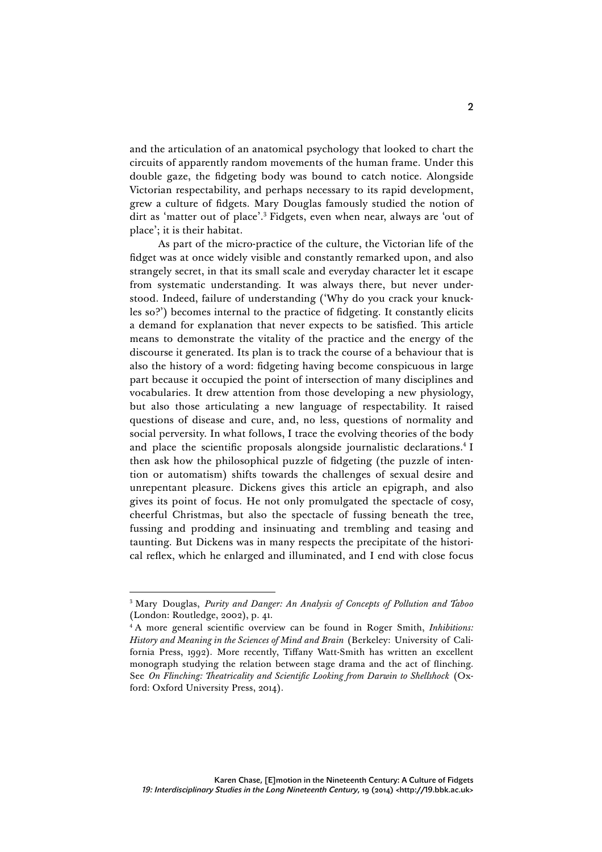and the articulation of an anatomical psychology that looked to chart the circuits of apparently random movements of the human frame. Under this double gaze, the fidgeting body was bound to catch notice. Alongside Victorian respectability, and perhaps necessary to its rapid development, grew a culture of fidgets. Mary Douglas famously studied the notion of dirt as 'matter out of place'. <sup>3</sup> Fidgets, even when near, always are 'out of place'; it is their habitat.

As part of the micro-practice of the culture, the Victorian life of the fidget was at once widely visible and constantly remarked upon, and also strangely secret, in that its small scale and everyday character let it escape from systematic understanding. It was always there, but never understood. Indeed, failure of understanding ('Why do you crack your knuckles so?') becomes internal to the practice of fidgeting. It constantly elicits a demand for explanation that never expects to be satisfied. This article means to demonstrate the vitality of the practice and the energy of the discourse it generated. Its plan is to track the course of a behaviour that is also the history of a word: fidgeting having become conspicuous in large part because it occupied the point of intersection of many disciplines and vocabularies. It drew attention from those developing a new physiology, but also those articulating a new language of respectability. It raised questions of disease and cure, and, no less, questions of normality and social perversity. In what follows, I trace the evolving theories of the body and place the scientific proposals alongside journalistic declarations.<sup>4</sup> I then ask how the philosophical puzzle of fidgeting (the puzzle of intention or automatism) shifts towards the challenges of sexual desire and unrepentant pleasure. Dickens gives this article an epigraph, and also gives its point of focus. He not only promulgated the spectacle of cosy, cheerful Christmas, but also the spectacle of fussing beneath the tree, fussing and prodding and insinuating and trembling and teasing and taunting. But Dickens was in many respects the precipitate of the historical reflex, which he enlarged and illuminated, and I end with close focus

 <sup>3</sup> Mary Douglas, *Purity and Danger: An Analysis of Concepts of Pollution and Taboo* (London: Routledge, 2002), p. 41.

<sup>4</sup> A more general scientific overview can be found in Roger Smith, *Inhibitions: History and Meaning in the Sciences of Mind and Brain* (Berkeley: University of California Press, 1992). More recently, Tiffany Watt-Smith has written an excellent monograph studying the relation between stage drama and the act of flinching. See *On Flinching: Theatricality and Scientific Looking from Darwin to Shellshock* (Oxford: Oxford University Press, 2014).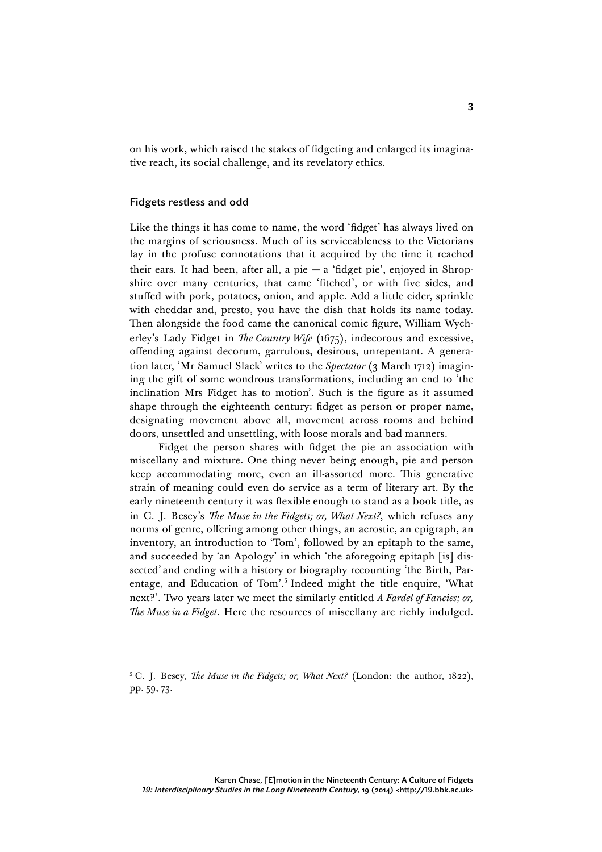on his work, which raised the stakes of fidgeting and enlarged its imaginative reach, its social challenge, and its revelatory ethics.

## Fidgets restless and odd

Like the things it has come to name, the word 'fidget' has always lived on the margins of seriousness. Much of its serviceableness to the Victorians lay in the profuse connotations that it acquired by the time it reached their ears. It had been, after all, a pie **—** a 'fidget pie', enjoyed in Shropshire over many centuries, that came 'fitched', or with five sides, and stuffed with pork, potatoes, onion, and apple. Add a little cider, sprinkle with cheddar and, presto, you have the dish that holds its name today. Then alongside the food came the canonical comic figure, William Wycherley's Lady Fidget in *The Country Wife* (1675), indecorous and excessive, offending against decorum, garrulous, desirous, unrepentant. A generation later, 'Mr Samuel Slack' writes to the *Spectator* (3 March 1712) imagining the gift of some wondrous transformations, including an end to 'the inclination Mrs Fidget has to motion'. Such is the figure as it assumed shape through the eighteenth century: fidget as person or proper name, designating movement above all, movement across rooms and behind doors, unsettled and unsettling, with loose morals and bad manners.

Fidget the person shares with fidget the pie an association with miscellany and mixture. One thing never being enough, pie and person keep accommodating more, even an ill-assorted more. This generative strain of meaning could even do service as a term of literary art. By the early nineteenth century it was flexible enough to stand as a book title, as in C. J. Besey's *The Muse in the Fidgets; or, What Next?*, which refuses any norms of genre, offering among other things, an acrostic, an epigraph, an inventory, an introduction to 'Tom', followed by an epitaph to the same, and succeeded by 'an Apology' in which 'the aforegoing epitaph [is] dissected' and ending with a history or biography recounting 'the Birth, Parentage, and Education of Tom'. <sup>5</sup> Indeed might the title enquire, 'What next?'. Two years later we meet the similarly entitled *A Fardel of Fancies; or, The Muse in a Fidget*. Here the resources of miscellany are richly indulged.

 <sup>5</sup> C. J. Besey, *The Muse in the Fidgets; or, What Next?* (London: the author, 1822), pp. 59, 73.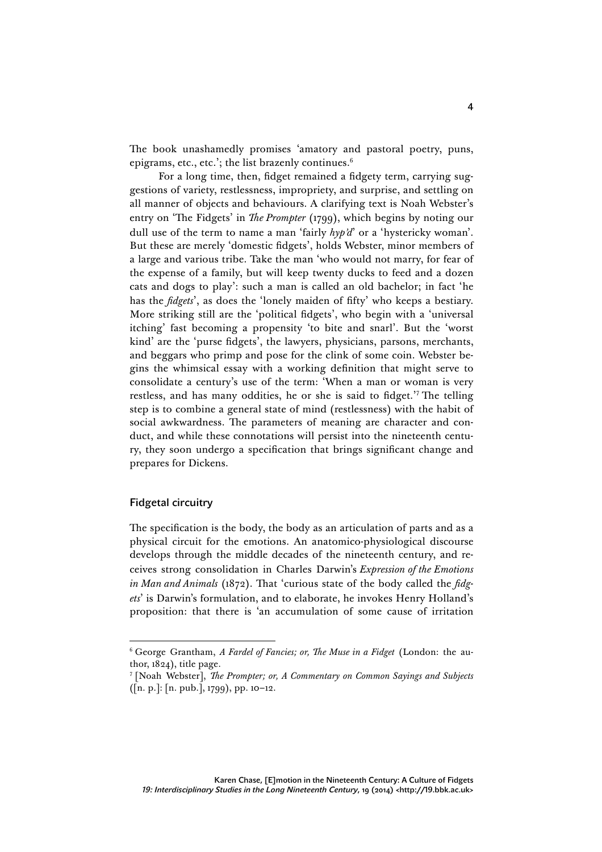The book unashamedly promises 'amatory and pastoral poetry, puns, epigrams, etc., etc.'; the list brazenly continues.<sup>6</sup>

For a long time, then, fidget remained a fidgety term, carrying suggestions of variety, restlessness, impropriety, and surprise, and settling on all manner of objects and behaviours. A clarifying text is Noah Webster's entry on 'The Fidgets' in *The Prompter* (1799), which begins by noting our dull use of the term to name a man 'fairly *hyp'd*' or a 'hystericky woman'. But these are merely 'domestic fidgets', holds Webster, minor members of a large and various tribe. Take the man 'who would not marry, for fear of the expense of a family, but will keep twenty ducks to feed and a dozen cats and dogs to play': such a man is called an old bachelor; in fact 'he has the *fidgets*', as does the 'lonely maiden of fifty' who keeps a bestiary. More striking still are the 'political fidgets', who begin with a 'universal itching' fast becoming a propensity 'to bite and snarl'. But the 'worst kind' are the 'purse fidgets', the lawyers, physicians, parsons, merchants, and beggars who primp and pose for the clink of some coin. Webster begins the whimsical essay with a working definition that might serve to consolidate a century's use of the term: 'When a man or woman is very restless, and has many oddities, he or she is said to fidget.' <sup>7</sup> The telling step is to combine a general state of mind (restlessness) with the habit of social awkwardness. The parameters of meaning are character and conduct, and while these connotations will persist into the nineteenth century, they soon undergo a specification that brings significant change and prepares for Dickens.

#### Fidgetal circuitry

The specification is the body, the body as an articulation of parts and as a physical circuit for the emotions. An anatomico-physiological discourse develops through the middle decades of the nineteenth century, and receives strong consolidation in Charles Darwin's *Expression of the Emotions in Man and Animals* (1872). That 'curious state of the body called the *fidgets*' is Darwin's formulation, and to elaborate, he invokes Henry Holland's proposition: that there is 'an accumulation of some cause of irritation

 <sup>6</sup> George Grantham, *A Fardel of Fancies; or, The Muse in a Fidget* (London: the author, 1824), title page.

<sup>7</sup> [Noah Webster], *The Prompter; or, A Commentary on Common Sayings and Subjects* ([n. p.]: [n. pub.], 1799), pp. 10–12.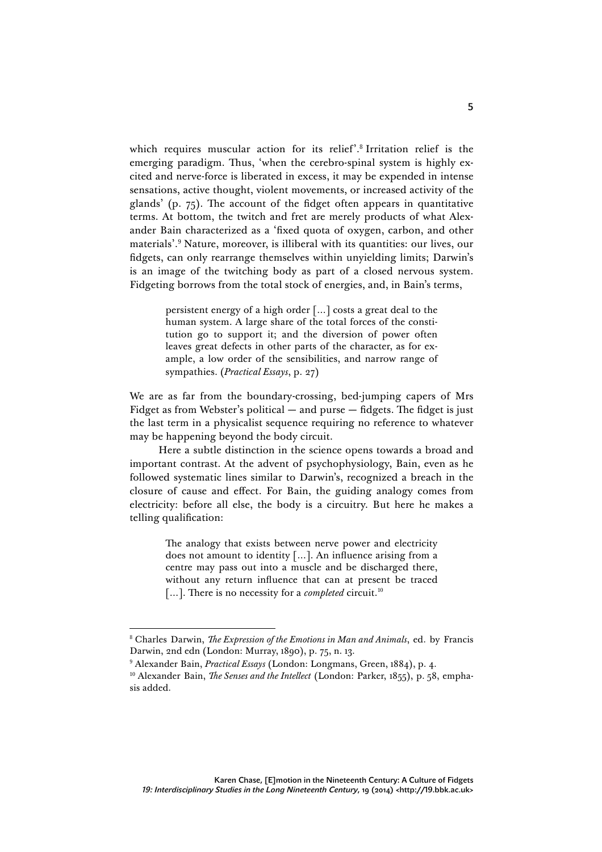which requires muscular action for its relief'. <sup>8</sup> Irritation relief is the emerging paradigm. Thus, 'when the cerebro-spinal system is highly excited and nerve-force is liberated in excess, it may be expended in intense sensations, active thought, violent movements, or increased activity of the glands' (p. 75). The account of the fidget often appears in quantitative terms. At bottom, the twitch and fret are merely products of what Alexander Bain characterized as a 'fixed quota of oxygen, carbon, and other materials'. <sup>9</sup> Nature, moreover, is illiberal with its quantities: our lives, our fidgets, can only rearrange themselves within unyielding limits; Darwin's is an image of the twitching body as part of a closed nervous system. Fidgeting borrows from the total stock of energies, and, in Bain's terms,

> persistent energy of a high order […] costs a great deal to the human system. A large share of the total forces of the constitution go to support it; and the diversion of power often leaves great defects in other parts of the character, as for example, a low order of the sensibilities, and narrow range of sympathies. (*Practical Essays*, p. 27)

We are as far from the boundary-crossing, bed-jumping capers of Mrs Fidget as from Webster's political — and purse — fidgets. The fidget is just the last term in a physicalist sequence requiring no reference to whatever may be happening beyond the body circuit.

Here a subtle distinction in the science opens towards a broad and important contrast. At the advent of psychophysiology, Bain, even as he followed systematic lines similar to Darwin's, recognized a breach in the closure of cause and effect. For Bain, the guiding analogy comes from electricity: before all else, the body is a circuitry. But here he makes a telling qualification:

> The analogy that exists between nerve power and electricity does not amount to identity […]. An influence arising from a centre may pass out into a muscle and be discharged there, without any return influence that can at present be traced […]. There is no necessity for a *completed* circuit. 10

 <sup>8</sup> Charles Darwin, *The Expression of the Emotions in Man and Animals*, ed. by Francis Darwin, 2nd edn (London: Murray, 1890), p. 75, n. 13.

<sup>9</sup> Alexander Bain, *Practical Essays* (London: Longmans, Green, 1884), p. 4.

<sup>&</sup>lt;sup>10</sup> Alexander Bain, *The Senses and the Intellect* (London: Parker, 1855), p. 58, emphasis added.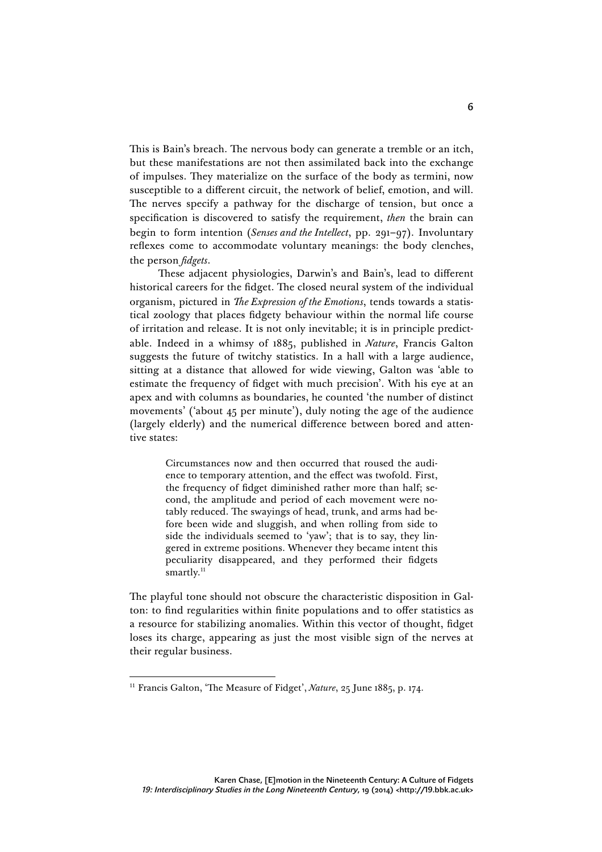This is Bain's breach. The nervous body can generate a tremble or an itch, but these manifestations are not then assimilated back into the exchange of impulses. They materialize on the surface of the body as termini, now susceptible to a different circuit, the network of belief, emotion, and will. The nerves specify a pathway for the discharge of tension, but once a specification is discovered to satisfy the requirement, *then* the brain can begin to form intention (*Senses and the Intellect*, pp. 291–97). Involuntary reflexes come to accommodate voluntary meanings: the body clenches, the person *fidgets*.

These adjacent physiologies, Darwin's and Bain's, lead to different historical careers for the fidget. The closed neural system of the individual organism, pictured in *The Expression of the Emotions*, tends towards a statistical zoology that places fidgety behaviour within the normal life course of irritation and release. It is not only inevitable; it is in principle predictable. Indeed in a whimsy of 1885, published in *Nature*, Francis Galton suggests the future of twitchy statistics. In a hall with a large audience, sitting at a distance that allowed for wide viewing, Galton was 'able to estimate the frequency of fidget with much precision'. With his eye at an apex and with columns as boundaries, he counted 'the number of distinct movements' ('about 45 per minute'), duly noting the age of the audience (largely elderly) and the numerical difference between bored and attentive states:

> Circumstances now and then occurred that roused the audience to temporary attention, and the effect was twofold. First, the frequency of fidget diminished rather more than half; second, the amplitude and period of each movement were notably reduced. The swayings of head, trunk, and arms had before been wide and sluggish, and when rolling from side to side the individuals seemed to 'yaw'; that is to say, they lingered in extreme positions. Whenever they became intent this peculiarity disappeared, and they performed their fidgets  ${\rm smartly.}^{\rm 11}$

The playful tone should not obscure the characteristic disposition in Galton: to find regularities within finite populations and to offer statistics as a resource for stabilizing anomalies. Within this vector of thought, fidget loses its charge, appearing as just the most visible sign of the nerves at their regular business.

<sup>&</sup>lt;sup>11</sup> Francis Galton, 'The Measure of Fidget', *Nature*, 25 June 1885, p. 174.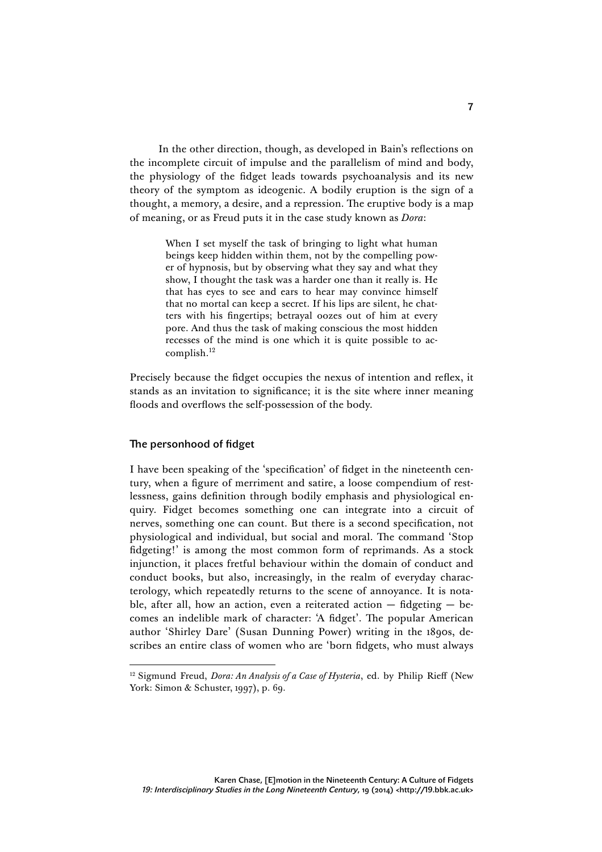In the other direction, though, as developed in Bain's reflections on the incomplete circuit of impulse and the parallelism of mind and body, the physiology of the fidget leads towards psychoanalysis and its new theory of the symptom as ideogenic. A bodily eruption is the sign of a thought, a memory, a desire, and a repression. The eruptive body is a map of meaning, or as Freud puts it in the case study known as *Dora*:

> When I set myself the task of bringing to light what human beings keep hidden within them, not by the compelling power of hypnosis, but by observing what they say and what they show, I thought the task was a harder one than it really is. He that has eyes to see and ears to hear may convince himself that no mortal can keep a secret. If his lips are silent, he chatters with his fingertips; betrayal oozes out of him at every pore. And thus the task of making conscious the most hidden recesses of the mind is one which it is quite possible to accomplish. 12

Precisely because the fidget occupies the nexus of intention and reflex, it stands as an invitation to significance; it is the site where inner meaning floods and overflows the self-possession of the body.

## The personhood of fidget

I have been speaking of the 'specification' of fidget in the nineteenth century, when a figure of merriment and satire, a loose compendium of restlessness, gains definition through bodily emphasis and physiological enquiry. Fidget becomes something one can integrate into a circuit of nerves, something one can count. But there is a second specification, not physiological and individual, but social and moral. The command 'Stop fidgeting!' is among the most common form of reprimands. As a stock injunction, it places fretful behaviour within the domain of conduct and conduct books, but also, increasingly, in the realm of everyday characterology, which repeatedly returns to the scene of annoyance. It is notable, after all, how an action, even a reiterated action  $-$  fidgeting  $-$  becomes an indelible mark of character: 'A fidget'. The popular American author 'Shirley Dare' (Susan Dunning Power) writing in the 1890s, describes an entire class of women who are 'born fidgets, who must always

<sup>&</sup>lt;sup>12</sup> Sigmund Freud, *Dora: An Analysis of a Case of Hysteria*, ed. by Philip Rieff (New York: Simon & Schuster, 1997), p. 69.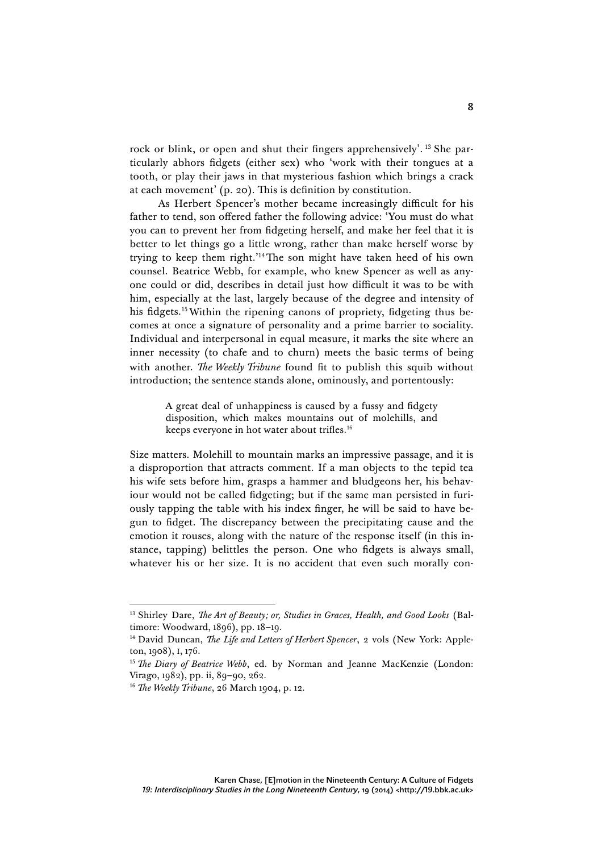rock or blink, or open and shut their fingers apprehensively'. <sup>13</sup> She particularly abhors fidgets (either sex) who 'work with their tongues at a tooth, or play their jaws in that mysterious fashion which brings a crack at each movement' (p. 20). This is definition by constitution.

As Herbert Spencer's mother became increasingly difficult for his father to tend, son offered father the following advice: 'You must do what you can to prevent her from fidgeting herself, and make her feel that it is better to let things go a little wrong, rather than make herself worse by trying to keep them right.' 14The son might have taken heed of his own counsel. Beatrice Webb, for example, who knew Spencer as well as anyone could or did, describes in detail just how difficult it was to be with him, especially at the last, largely because of the degree and intensity of his fidgets.<sup>15</sup> Within the ripening canons of propriety, fidgeting thus becomes at once a signature of personality and a prime barrier to sociality. Individual and interpersonal in equal measure, it marks the site where an inner necessity (to chafe and to churn) meets the basic terms of being with another. *The Weekly Tribune* found fit to publish this squib without introduction; the sentence stands alone, ominously, and portentously:

> A great deal of unhappiness is caused by a fussy and fidgety disposition, which makes mountains out of molehills, and keeps everyone in hot water about trifles.<sup>16</sup>

Size matters. Molehill to mountain marks an impressive passage, and it is a disproportion that attracts comment. If a man objects to the tepid tea his wife sets before him, grasps a hammer and bludgeons her, his behaviour would not be called fidgeting; but if the same man persisted in furiously tapping the table with his index finger, he will be said to have begun to fidget. The discrepancy between the precipitating cause and the emotion it rouses, along with the nature of the response itself (in this instance, tapping) belittles the person. One who fidgets is always small, whatever his or her size. It is no accident that even such morally con-

 <sup>13</sup> Shirley Dare, *The Art of Beauty; or, Studies in Graces, Health, and Good Looks* (Baltimore: Woodward, 1896), pp. 18–19.

<sup>&</sup>lt;sup>14</sup> David Duncan, *The Life and Letters of Herbert Spencer*, 2 vols (New York: Appleton, 1908), I, 176.

<sup>&</sup>lt;sup>15</sup> *The Diary of Beatrice Webb*, ed. by Norman and Jeanne MacKenzie (London: Virago, 1982), pp. ii, 89–90, 262.

<sup>16</sup> *The Weekly Tribune*, 26 March 1904, p. 12.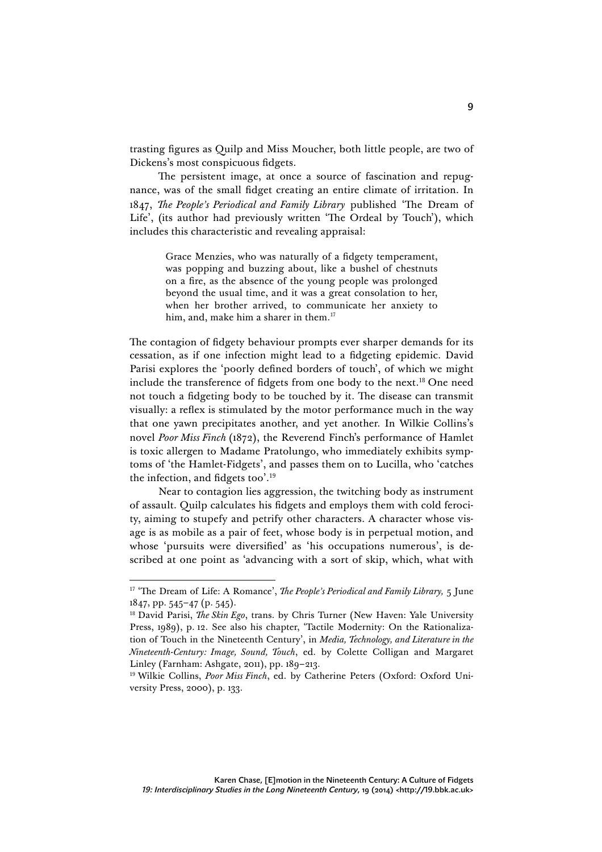trasting figures as Quilp and Miss Moucher, both little people, are two of Dickens's most conspicuous fidgets.

The persistent image, at once a source of fascination and repugnance, was of the small fidget creating an entire climate of irritation. In 1847, *The People's Periodical and Family Library* published 'The Dream of Life', (its author had previously written 'The Ordeal by Touch'), which includes this characteristic and revealing appraisal:

> Grace Menzies, who was naturally of a fidgety temperament, was popping and buzzing about, like a bushel of chestnuts on a fire, as the absence of the young people was prolonged beyond the usual time, and it was a great consolation to her, when her brother arrived, to communicate her anxiety to him, and, make him a sharer in them.<sup>17</sup>

The contagion of fidgety behaviour prompts ever sharper demands for its cessation, as if one infection might lead to a fidgeting epidemic. David Parisi explores the 'poorly defined borders of touch', of which we might include the transference of fidgets from one body to the next.18 One need not touch a fidgeting body to be touched by it. The disease can transmit visually: a reflex is stimulated by the motor performance much in the way that one yawn precipitates another, and yet another. In Wilkie Collins's novel *Poor Miss Finch* (1872), the Reverend Finch's performance of Hamlet is toxic allergen to Madame Pratolungo, who immediately exhibits symptoms of 'the Hamlet-Fidgets', and passes them on to Lucilla, who 'catches the infection, and fidgets too'. 19

Near to contagion lies aggression, the twitching body as instrument of assault. Quilp calculates his fidgets and employs them with cold ferocity, aiming to stupefy and petrify other characters. A character whose visage is as mobile as a pair of feet, whose body is in perpetual motion, and whose 'pursuits were diversified' as 'his occupations numerous', is described at one point as 'advancing with a sort of skip, which, what with

 <sup>17</sup> 'The Dream of Life: A Romance', *The People's Periodical and Family Library,* 5 June 1847, pp. 545–47 (p. 545).

<sup>18</sup> David Parisi, *The Skin Ego*, trans. by Chris Turner (New Haven: Yale University Press, 1989), p. 12. See also his chapter, 'Tactile Modernity: On the Rationalization of Touch in the Nineteenth Century', in *Media, Technology, and Literature in the Nineteenth-Century: Image, Sound, Touch*, ed. by Colette Colligan and Margaret Linley (Farnham: Ashgate, 2011), pp. 189–213.

<sup>&</sup>lt;sup>19</sup> Wilkie Collins, *Poor Miss Finch*, ed. by Catherine Peters (Oxford: Oxford University Press, 2000), p. 133.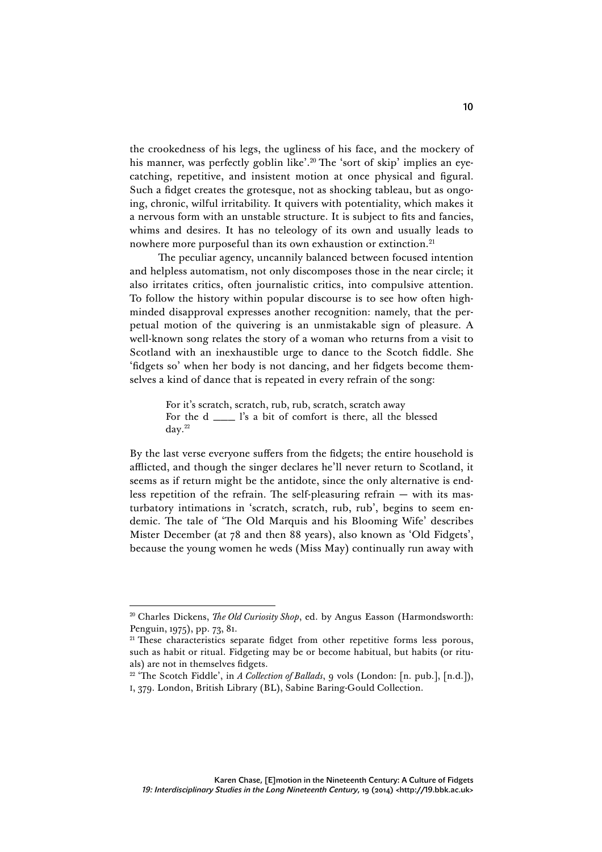the crookedness of his legs, the ugliness of his face, and the mockery of his manner, was perfectly goblin like'. <sup>20</sup> The 'sort of skip' implies an eyecatching, repetitive, and insistent motion at once physical and figural. Such a fidget creates the grotesque, not as shocking tableau, but as ongoing, chronic, wilful irritability. It quivers with potentiality, which makes it a nervous form with an unstable structure. It is subject to fits and fancies, whims and desires. It has no teleology of its own and usually leads to nowhere more purposeful than its own exhaustion or extinction.<sup>21</sup>

The peculiar agency, uncannily balanced between focused intention and helpless automatism, not only discomposes those in the near circle; it also irritates critics, often journalistic critics, into compulsive attention. To follow the history within popular discourse is to see how often highminded disapproval expresses another recognition: namely, that the perpetual motion of the quivering is an unmistakable sign of pleasure. A well-known song relates the story of a woman who returns from a visit to Scotland with an inexhaustible urge to dance to the Scotch fiddle. She 'fidgets so' when her body is not dancing, and her fidgets become themselves a kind of dance that is repeated in every refrain of the song:

> For it's scratch, scratch, rub, rub, scratch, scratch away For the d \_\_\_ l's a bit of comfort is there, all the blessed  $\rm day.^{22}$

By the last verse everyone suffers from the fidgets; the entire household is afflicted, and though the singer declares he'll never return to Scotland, it seems as if return might be the antidote, since the only alternative is endless repetition of the refrain. The self-pleasuring refrain — with its masturbatory intimations in 'scratch, scratch, rub, rub', begins to seem endemic. The tale of 'The Old Marquis and his Blooming Wife' describes Mister December (at 78 and then 88 years), also known as 'Old Fidgets', because the young women he weds (Miss May) continually run away with

<sup>&</sup>lt;sup>20</sup> Charles Dickens, *The Old Curiosity Shop*, ed. by Angus Easson (Harmondsworth: Penguin, 1975), pp. 73, 81.

 $21$  These characteristics separate fidget from other repetitive forms less porous, such as habit or ritual. Fidgeting may be or become habitual, but habits (or rituals) are not in themselves fidgets.

<sup>&</sup>lt;sup>22</sup> 'The Scotch Fiddle', in *A Collection of Ballads*, 9 vols (London: [n. pub.], [n.d.]), I, 379. London, British Library (BL), Sabine Baring-Gould Collection.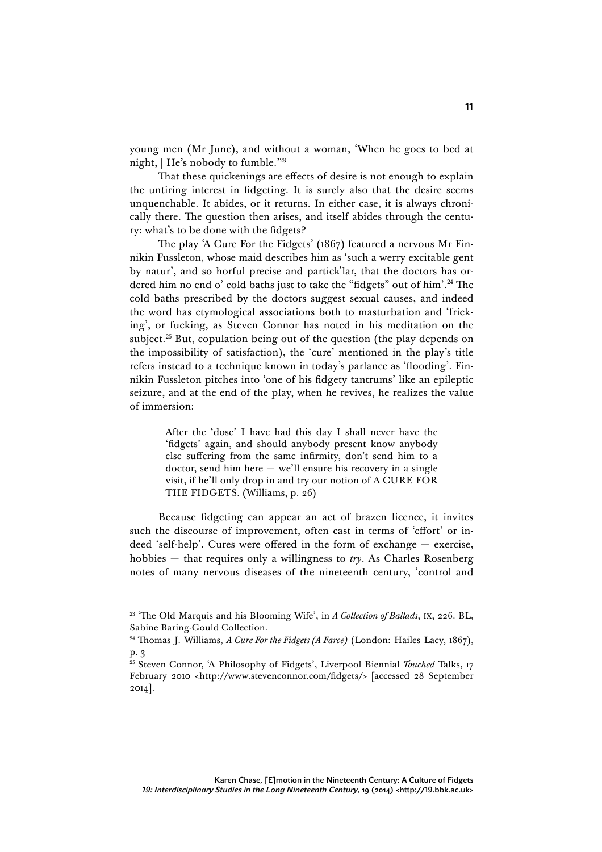young men (Mr June), and without a woman, 'When he goes to bed at night, | He's nobody to fumble.' 23

That these quickenings are effects of desire is not enough to explain the untiring interest in fidgeting. It is surely also that the desire seems unquenchable. It abides, or it returns. In either case, it is always chronically there. The question then arises, and itself abides through the century: what's to be done with the fidgets?

The play 'A Cure For the Fidgets' (1867) featured a nervous Mr Finnikin Fussleton, whose maid describes him as 'such a werry excitable gent by natur', and so horful precise and partick'lar, that the doctors has ordered him no end o' cold baths just to take the "fidgets" out of him'. <sup>24</sup> The cold baths prescribed by the doctors suggest sexual causes, and indeed the word has etymological associations both to masturbation and 'fricking', or fucking, as Steven Connor has noted in his meditation on the subject.<sup>25</sup> But, copulation being out of the question (the play depends on the impossibility of satisfaction), the 'cure' mentioned in the play's title refers instead to a technique known in today's parlance as 'flooding'. Finnikin Fussleton pitches into 'one of his fidgety tantrums' like an epileptic seizure, and at the end of the play, when he revives, he realizes the value of immersion:

> After the 'dose' I have had this day I shall never have the 'fidgets' again, and should anybody present know anybody else suffering from the same infirmity, don't send him to a doctor, send him here — we'll ensure his recovery in a single visit, if he'll only drop in and try our notion of A CURE FOR THE FIDGETS. (Williams, p. 26)

Because fidgeting can appear an act of brazen licence, it invites such the discourse of improvement, often cast in terms of 'effort' or indeed 'self-help'. Cures were offered in the form of exchange — exercise, hobbies — that requires only a willingness to *try*. As Charles Rosenberg notes of many nervous diseases of the nineteenth century, 'control and

 <sup>23</sup> 'The Old Marquis and his Blooming Wife', in *A Collection of Ballads*, IX, 226. BL, Sabine Baring-Gould Collection.

<sup>24</sup> Thomas J. Williams, *A Cure For the Fidgets (A Farce)* (London: Hailes Lacy, 1867), p. 3

<sup>&</sup>lt;sup>25</sup> Steven Connor, 'A Philosophy of Fidgets', Liverpool Biennial *Touched* Talks, 17 February 2010 <http://www.stevenconnor.com/fidgets/> [accessed 28 September 2014].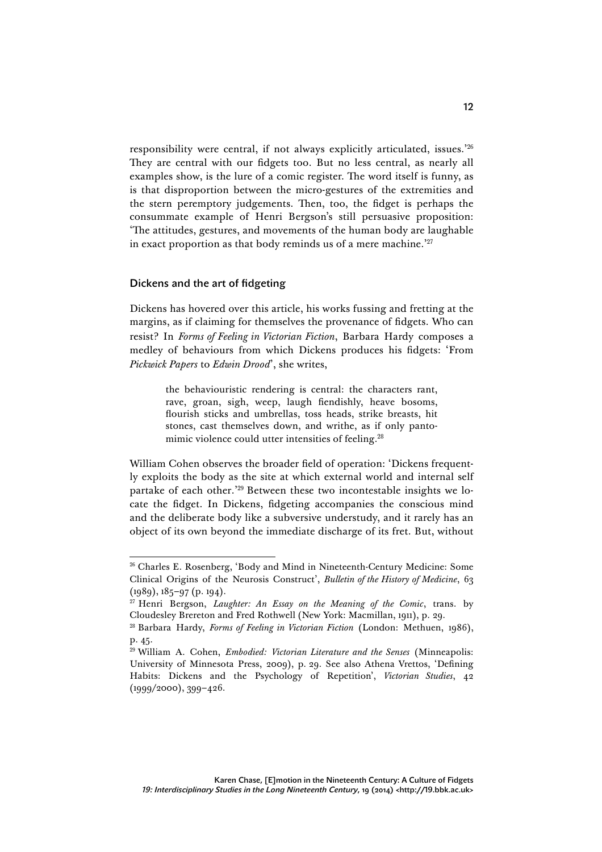responsibility were central, if not always explicitly articulated, issues.' 26 They are central with our fidgets too. But no less central, as nearly all examples show, is the lure of a comic register. The word itself is funny, as is that disproportion between the micro-gestures of the extremities and the stern peremptory judgements. Then, too, the fidget is perhaps the consummate example of Henri Bergson's still persuasive proposition: 'The attitudes, gestures, and movements of the human body are laughable in exact proportion as that body reminds us of a mere machine.' 27

## Dickens and the art of fidgeting

Dickens has hovered over this article, his works fussing and fretting at the margins, as if claiming for themselves the provenance of fidgets. Who can resist? In *Forms of Feeling in Victorian Fiction*, Barbara Hardy composes a medley of behaviours from which Dickens produces his fidgets: 'From *Pickwick Papers* to *Edwin Drood*', she writes,

> the behaviouristic rendering is central: the characters rant, rave, groan, sigh, weep, laugh fiendishly, heave bosoms, flourish sticks and umbrellas, toss heads, strike breasts, hit stones, cast themselves down, and writhe, as if only pantomimic violence could utter intensities of feeling.<sup>28</sup>

William Cohen observes the broader field of operation: 'Dickens frequently exploits the body as the site at which external world and internal self partake of each other.' <sup>29</sup> Between these two incontestable insights we locate the fidget. In Dickens, fidgeting accompanies the conscious mind and the deliberate body like a subversive understudy, and it rarely has an object of its own beyond the immediate discharge of its fret. But, without

 <sup>26</sup> Charles E. Rosenberg, 'Body and Mind in Nineteenth-Century Medicine: Some Clinical Origins of the Neurosis Construct', *Bulletin of the History of Medicine*, 63 (1989), 185–97 (p. 194).

<sup>27</sup> Henri Bergson, *Laughter: An Essay on the Meaning of the Comic*, trans. by Cloudesley Brereton and Fred Rothwell (New York: Macmillan, 1911), p. 29.

<sup>28</sup> Barbara Hardy, *Forms of Feeling in Victorian Fiction* (London: Methuen, 1986), p. 45.

<sup>29</sup> William A. Cohen, *Embodied: Victorian Literature and the Senses* (Minneapolis: University of Minnesota Press, 2009), p. 29. See also Athena Vrettos, 'Defining Habits: Dickens and the Psychology of Repetition', *Victorian Studies*, 42 (1999/2000), 399–426.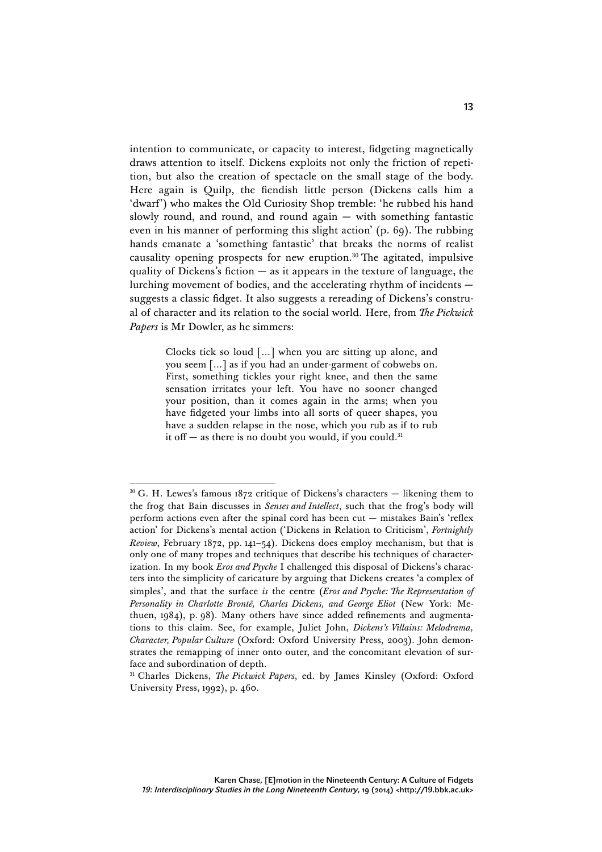intention to communicate, or capacity to interest, fidgeting magnetically draws attention to itself. Dickens exploits not only the friction of repetition, but also the creation of spectacle on the small stage of the body. Here again is Quilp, the fiendish little person (Dickens calls him a 'dwarf') who makes the Old Curiosity Shop tremble: 'he rubbed his hand slowly round, and round, and round again — with something fantastic even in his manner of performing this slight action' (p. 69). The rubbing hands emanate a 'something fantastic' that breaks the norms of realist causality opening prospects for new eruption.<sup>30</sup> The agitated, impulsive quality of Dickens's fiction  $-$  as it appears in the texture of language, the lurching movement of bodies, and the accelerating rhythm of incidents suggests a classic fidget. It also suggests a rereading of Dickens's construal of character and its relation to the social world. Here, from *The Pickwick Papers* is Mr Dowler, as he simmers:

> Clocks tick so loud […] when you are sitting up alone, and you seem […] as if you had an under-garment of cobwebs on. First, something tickles your right knee, and then the same sensation irritates your left. You have no sooner changed your position, than it comes again in the arms; when you have fidgeted your limbs into all sorts of queer shapes, you have a sudden relapse in the nose, which you rub as if to rub it off  $-$  as there is no doubt you would, if you could.<sup>31</sup>

<sup>31</sup> Charles Dickens, *The Pickwick Papers*, ed. by James Kinsley (Oxford: Oxford University Press, 1992), p. 460.

 $30$  G. H. Lewes's famous 1872 critique of Dickens's characters — likening them to the frog that Bain discusses in *Senses and Intellect*, such that the frog's body will perform actions even after the spinal cord has been cut — mistakes Bain's 'reflex action' for Dickens's mental action ('Dickens in Relation to Criticism', *Fortnightly Review*, February 1872, pp. 141–54). Dickens does employ mechanism, but that is only one of many tropes and techniques that describe his techniques of characterization. In my book *Eros and Psyche* I challenged this disposal of Dickens's characters into the simplicity of caricature by arguing that Dickens creates 'a complex of simples', and that the surface *is* the centre (*Eros and Psyche: The Representation of Personality in Charlotte Brontë, Charles Dickens, and George Eliot* (New York: Methuen, 1984), p. 98). Many others have since added refinements and augmentations to this claim. See, for example, Juliet John, *Dickens's Villains: Melodrama, Character, Popular Culture* (Oxford: Oxford University Press, 2003). John demonstrates the remapping of inner onto outer, and the concomitant elevation of surface and subordination of depth.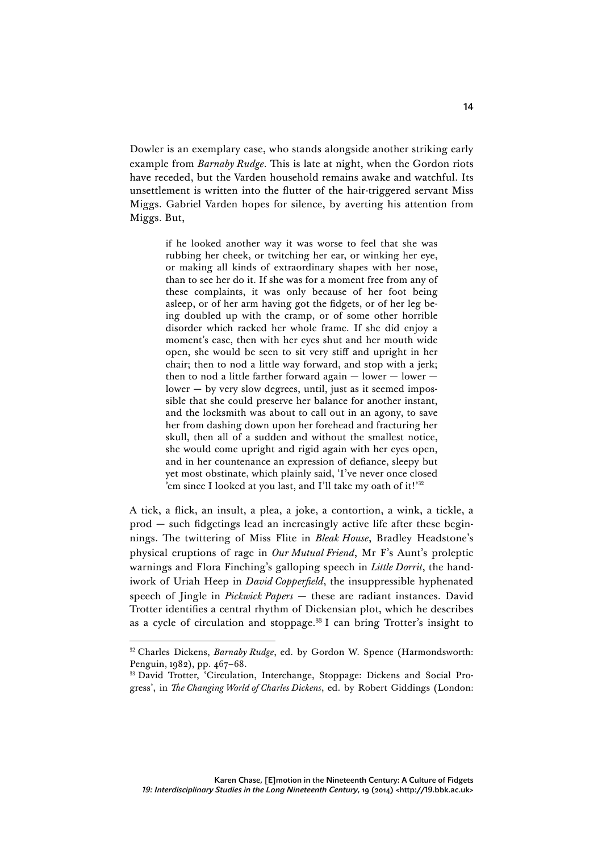Dowler is an exemplary case, who stands alongside another striking early example from *Barnaby Rudge*. This is late at night, when the Gordon riots have receded, but the Varden household remains awake and watchful. Its unsettlement is written into the flutter of the hair-triggered servant Miss Miggs. Gabriel Varden hopes for silence, by averting his attention from Miggs. But,

> if he looked another way it was worse to feel that she was rubbing her cheek, or twitching her ear, or winking her eye, or making all kinds of extraordinary shapes with her nose, than to see her do it. If she was for a moment free from any of these complaints, it was only because of her foot being asleep, or of her arm having got the fidgets, or of her leg being doubled up with the cramp, or of some other horrible disorder which racked her whole frame. If she did enjoy a moment's ease, then with her eyes shut and her mouth wide open, she would be seen to sit very stiff and upright in her chair; then to nod a little way forward, and stop with a jerk; then to nod a little farther forward again  $-$  lower  $$ lower — by very slow degrees, until, just as it seemed impossible that she could preserve her balance for another instant, and the locksmith was about to call out in an agony, to save her from dashing down upon her forehead and fracturing her skull, then all of a sudden and without the smallest notice, she would come upright and rigid again with her eyes open, and in her countenance an expression of defiance, sleepy but yet most obstinate, which plainly said, 'I've never once closed 'em since I looked at you last, and I'll take my oath of it!' 32

A tick, a flick, an insult, a plea, a joke, a contortion, a wink, a tickle, a prod — such fidgetings lead an increasingly active life after these beginnings. The twittering of Miss Flite in *Bleak House*, Bradley Headstone's physical eruptions of rage in *Our Mutual Friend*, Mr F's Aunt's proleptic warnings and Flora Finching's galloping speech in *Little Dorrit*, the handiwork of Uriah Heep in *David Copperfield*, the insuppressible hyphenated speech of Jingle in *Pickwick Papers* — these are radiant instances. David Trotter identifies a central rhythm of Dickensian plot, which he describes as a cycle of circulation and stoppage.33 I can bring Trotter's insight to

<sup>&</sup>lt;sup>32</sup> Charles Dickens, *Barnaby Rudge*, ed. by Gordon W. Spence (Harmondsworth: Penguin, 1982), pp. 467–68.

<sup>33</sup> David Trotter, 'Circulation, Interchange, Stoppage: Dickens and Social Progress', in *The Changing World of Charles Dickens*, ed. by Robert Giddings (London: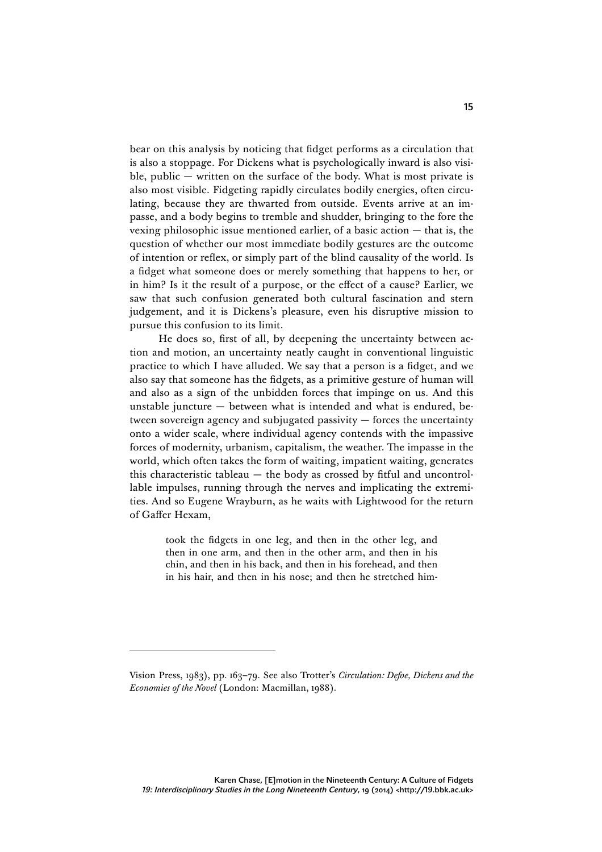bear on this analysis by noticing that fidget performs as a circulation that is also a stoppage. For Dickens what is psychologically inward is also visible, public — written on the surface of the body. What is most private is also most visible. Fidgeting rapidly circulates bodily energies, often circulating, because they are thwarted from outside. Events arrive at an impasse, and a body begins to tremble and shudder, bringing to the fore the vexing philosophic issue mentioned earlier, of a basic action — that is, the question of whether our most immediate bodily gestures are the outcome of intention or reflex, or simply part of the blind causality of the world. Is a fidget what someone does or merely something that happens to her, or in him? Is it the result of a purpose, or the effect of a cause? Earlier, we saw that such confusion generated both cultural fascination and stern judgement, and it is Dickens's pleasure, even his disruptive mission to pursue this confusion to its limit.

He does so, first of all, by deepening the uncertainty between action and motion, an uncertainty neatly caught in conventional linguistic practice to which I have alluded. We say that a person is a fidget, and we also say that someone has the fidgets, as a primitive gesture of human will and also as a sign of the unbidden forces that impinge on us. And this unstable juncture — between what is intended and what is endured, between sovereign agency and subjugated passivity — forces the uncertainty onto a wider scale, where individual agency contends with the impassive forces of modernity, urbanism, capitalism, the weather. The impasse in the world, which often takes the form of waiting, impatient waiting, generates this characteristic tableau — the body as crossed by fitful and uncontrollable impulses, running through the nerves and implicating the extremities. And so Eugene Wrayburn, as he waits with Lightwood for the return of Gaffer Hexam,

> took the fidgets in one leg, and then in the other leg, and then in one arm, and then in the other arm, and then in his chin, and then in his back, and then in his forehead, and then in his hair, and then in his nose; and then he stretched him-

Vision Press, 1983), pp. 163–79. See also Trotter's *Circulation: Defoe, Dickens and the Economies of the Novel* (London: Macmillan, 1988).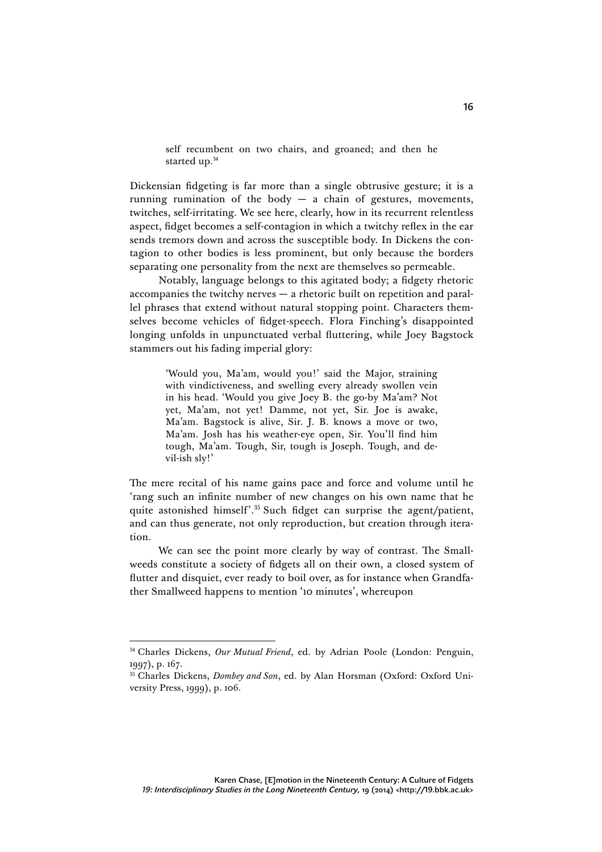self recumbent on two chairs, and groaned; and then he started up.<sup>34</sup>

Dickensian fidgeting is far more than a single obtrusive gesture; it is a running rumination of the body  $-$  a chain of gestures, movements, twitches, self-irritating. We see here, clearly, how in its recurrent relentless aspect, fidget becomes a self-contagion in which a twitchy reflex in the ear sends tremors down and across the susceptible body. In Dickens the contagion to other bodies is less prominent, but only because the borders separating one personality from the next are themselves so permeable.

Notably, language belongs to this agitated body; a fidgety rhetoric accompanies the twitchy nerves — a rhetoric built on repetition and parallel phrases that extend without natural stopping point. Characters themselves become vehicles of fidget-speech. Flora Finching's disappointed longing unfolds in unpunctuated verbal fluttering, while Joey Bagstock stammers out his fading imperial glory:

> 'Would you, Ma'am, would you!' said the Major, straining with vindictiveness, and swelling every already swollen vein in his head. 'Would you give Joey B. the go-by Ma'am? Not yet, Ma'am, not yet! Damme, not yet, Sir. Joe is awake, Ma'am. Bagstock is alive, Sir. J. B. knows a move or two, Ma'am. Josh has his weather-eye open, Sir. You'll find him tough, Ma'am. Tough, Sir, tough is Joseph. Tough, and devil-ish sly!'

The mere recital of his name gains pace and force and volume until he 'rang such an infinite number of new changes on his own name that he quite astonished himself'. <sup>35</sup> Such fidget can surprise the agent/patient, and can thus generate, not only reproduction, but creation through iteration.

We can see the point more clearly by way of contrast. The Smallweeds constitute a society of fidgets all on their own, a closed system of flutter and disquiet, ever ready to boil over, as for instance when Grandfather Smallweed happens to mention '10 minutes', whereupon

 <sup>34</sup> Charles Dickens, *Our Mutual Friend*, ed. by Adrian Poole (London: Penguin, 1997), p. 167.

<sup>35</sup> Charles Dickens, *Dombey and Son*, ed. by Alan Horsman (Oxford: Oxford University Press, 1999), p. 106.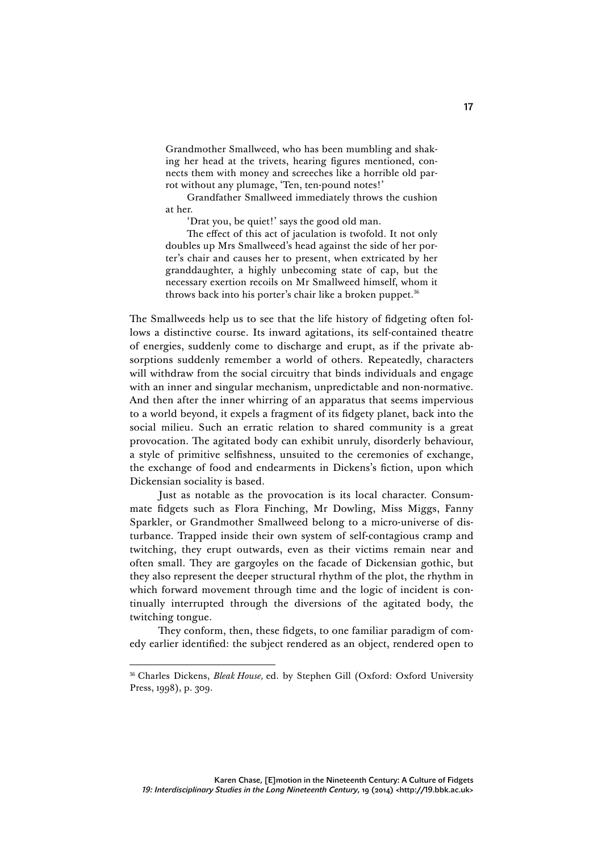Grandmother Smallweed, who has been mumbling and shaking her head at the trivets, hearing figures mentioned, connects them with money and screeches like a horrible old parrot without any plumage, 'Ten, ten-pound notes!'

Grandfather Smallweed immediately throws the cushion at her.

'Drat you, be quiet!' says the good old man.

The effect of this act of jaculation is twofold. It not only doubles up Mrs Smallweed's head against the side of her porter's chair and causes her to present, when extricated by her granddaughter, a highly unbecoming state of cap, but the necessary exertion recoils on Mr Smallweed himself, whom it throws back into his porter's chair like a broken puppet.<sup>36</sup>

The Smallweeds help us to see that the life history of fidgeting often follows a distinctive course. Its inward agitations, its self-contained theatre of energies, suddenly come to discharge and erupt, as if the private absorptions suddenly remember a world of others. Repeatedly, characters will withdraw from the social circuitry that binds individuals and engage with an inner and singular mechanism, unpredictable and non-normative. And then after the inner whirring of an apparatus that seems impervious to a world beyond, it expels a fragment of its fidgety planet, back into the social milieu. Such an erratic relation to shared community is a great provocation. The agitated body can exhibit unruly, disorderly behaviour, a style of primitive selfishness, unsuited to the ceremonies of exchange, the exchange of food and endearments in Dickens's fiction, upon which Dickensian sociality is based.

Just as notable as the provocation is its local character. Consummate fidgets such as Flora Finching, Mr Dowling, Miss Miggs, Fanny Sparkler, or Grandmother Smallweed belong to a micro-universe of disturbance. Trapped inside their own system of self-contagious cramp and twitching, they erupt outwards, even as their victims remain near and often small. They are gargoyles on the facade of Dickensian gothic, but they also represent the deeper structural rhythm of the plot, the rhythm in which forward movement through time and the logic of incident is continually interrupted through the diversions of the agitated body, the twitching tongue.

They conform, then, these fidgets, to one familiar paradigm of comedy earlier identified: the subject rendered as an object, rendered open to

 <sup>36</sup> Charles Dickens, *Bleak House,* ed. by Stephen Gill (Oxford: Oxford University Press, 1998), p. 309.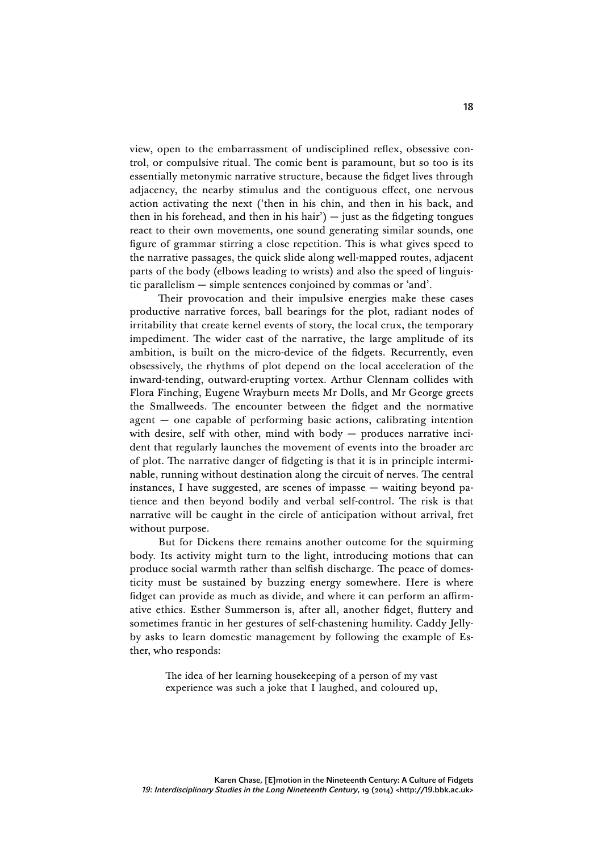view, open to the embarrassment of undisciplined reflex, obsessive control, or compulsive ritual. The comic bent is paramount, but so too is its essentially metonymic narrative structure, because the fidget lives through adjacency, the nearby stimulus and the contiguous effect, one nervous action activating the next ('then in his chin, and then in his back, and then in his forehead, and then in his hair')  $-$  just as the fidgeting tongues react to their own movements, one sound generating similar sounds, one figure of grammar stirring a close repetition. This is what gives speed to the narrative passages, the quick slide along well-mapped routes, adjacent parts of the body (elbows leading to wrists) and also the speed of linguistic parallelism — simple sentences conjoined by commas or 'and'.

Their provocation and their impulsive energies make these cases productive narrative forces, ball bearings for the plot, radiant nodes of irritability that create kernel events of story, the local crux, the temporary impediment. The wider cast of the narrative, the large amplitude of its ambition, is built on the micro-device of the fidgets. Recurrently, even obsessively, the rhythms of plot depend on the local acceleration of the inward-tending, outward-erupting vortex. Arthur Clennam collides with Flora Finching, Eugene Wrayburn meets Mr Dolls, and Mr George greets the Smallweeds. The encounter between the fidget and the normative agent — one capable of performing basic actions, calibrating intention with desire, self with other, mind with body - produces narrative incident that regularly launches the movement of events into the broader arc of plot. The narrative danger of fidgeting is that it is in principle interminable, running without destination along the circuit of nerves. The central instances, I have suggested, are scenes of impasse — waiting beyond patience and then beyond bodily and verbal self-control. The risk is that narrative will be caught in the circle of anticipation without arrival, fret without purpose.

But for Dickens there remains another outcome for the squirming body. Its activity might turn to the light, introducing motions that can produce social warmth rather than selfish discharge. The peace of domesticity must be sustained by buzzing energy somewhere. Here is where fidget can provide as much as divide, and where it can perform an affirmative ethics. Esther Summerson is, after all, another fidget, fluttery and sometimes frantic in her gestures of self-chastening humility. Caddy Jellyby asks to learn domestic management by following the example of Esther, who responds:

> The idea of her learning housekeeping of a person of my vast experience was such a joke that I laughed, and coloured up,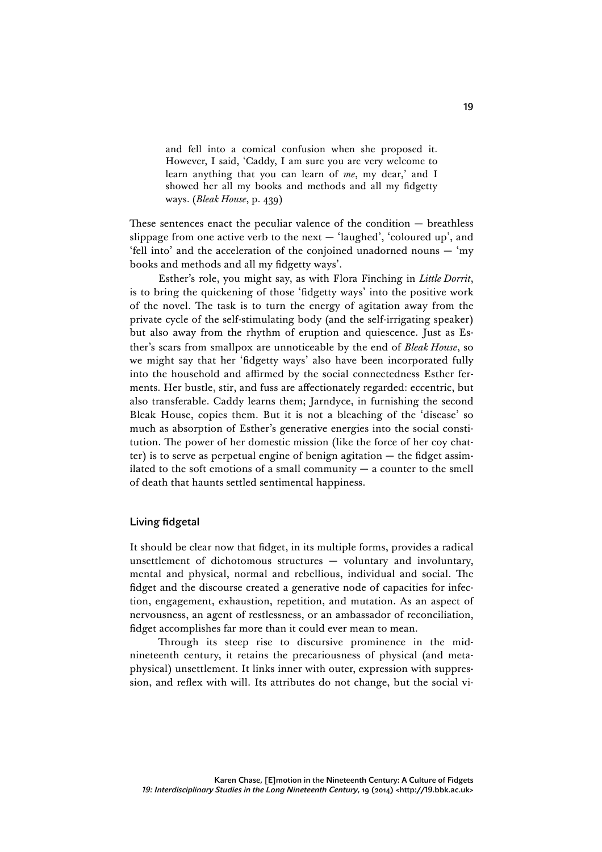and fell into a comical confusion when she proposed it. However, I said, 'Caddy, I am sure you are very welcome to learn anything that you can learn of *me*, my dear,' and I showed her all my books and methods and all my fidgetty ways. (*Bleak House*, p. 439)

These sentences enact the peculiar valence of the condition — breathless slippage from one active verb to the next — 'laughed', 'coloured up', and 'fell into' and the acceleration of the conjoined unadorned nouns — 'my books and methods and all my fidgetty ways'.

Esther's role, you might say, as with Flora Finching in *Little Dorrit*, is to bring the quickening of those 'fidgetty ways' into the positive work of the novel. The task is to turn the energy of agitation away from the private cycle of the self-stimulating body (and the self-irrigating speaker) but also away from the rhythm of eruption and quiescence. Just as Esther's scars from smallpox are unnoticeable by the end of *Bleak House*, so we might say that her 'fidgetty ways' also have been incorporated fully into the household and affirmed by the social connectedness Esther ferments. Her bustle, stir, and fuss are affectionately regarded: eccentric, but also transferable. Caddy learns them; Jarndyce, in furnishing the second Bleak House, copies them. But it is not a bleaching of the 'disease' so much as absorption of Esther's generative energies into the social constitution. The power of her domestic mission (like the force of her coy chatter) is to serve as perpetual engine of benign agitation — the fidget assimilated to the soft emotions of a small community  $-$  a counter to the smell of death that haunts settled sentimental happiness.

#### Living fidgetal

It should be clear now that fidget, in its multiple forms, provides a radical unsettlement of dichotomous structures — voluntary and involuntary, mental and physical, normal and rebellious, individual and social. The fidget and the discourse created a generative node of capacities for infection, engagement, exhaustion, repetition, and mutation. As an aspect of nervousness, an agent of restlessness, or an ambassador of reconciliation, fidget accomplishes far more than it could ever mean to mean.

Through its steep rise to discursive prominence in the midnineteenth century, it retains the precariousness of physical (and metaphysical) unsettlement. It links inner with outer, expression with suppression, and reflex with will. Its attributes do not change, but the social vi